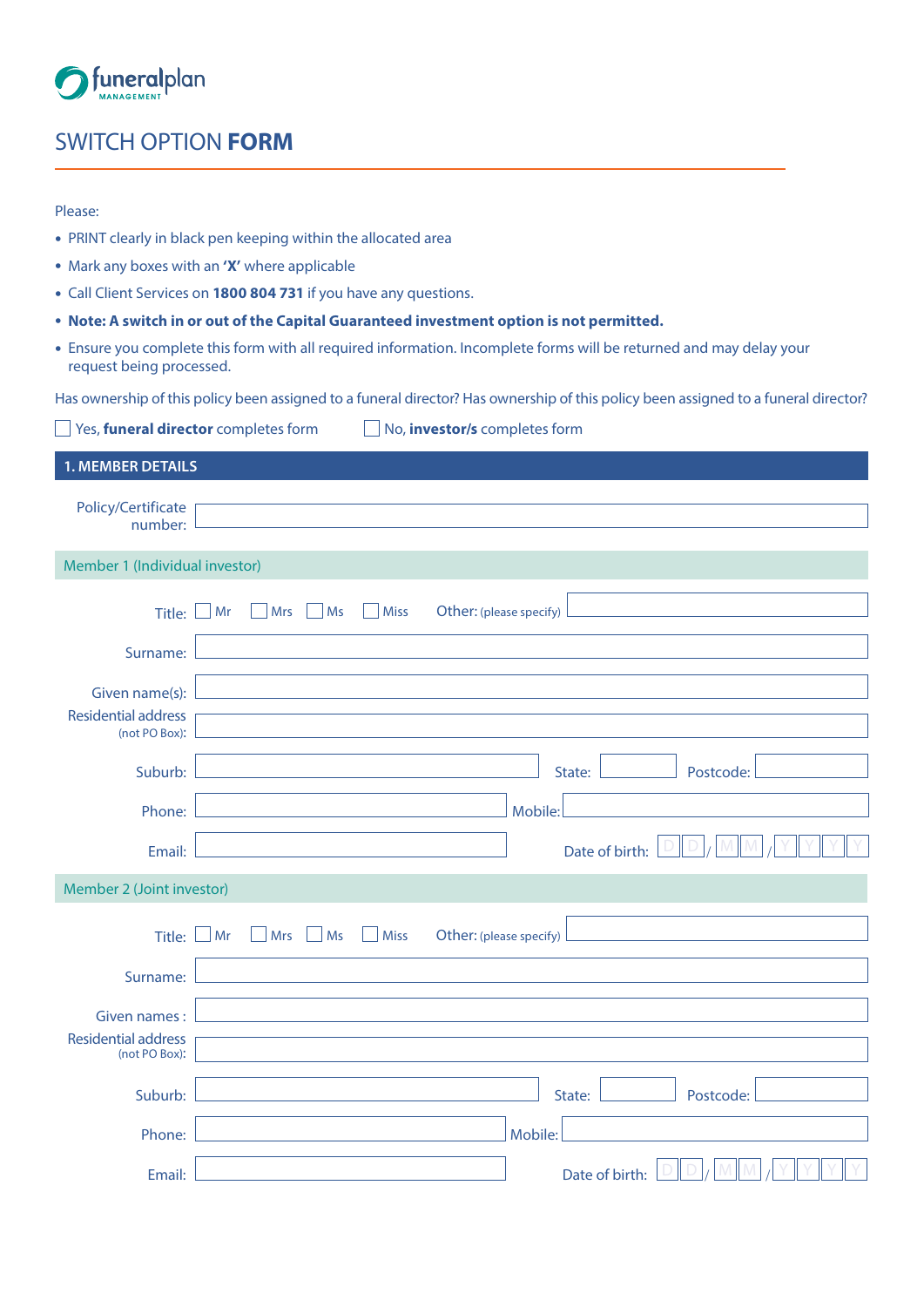

## SWITCH OPTION **FORM**

| Please:                                                                                                                             |                                                                                                                     |  |  |  |  |
|-------------------------------------------------------------------------------------------------------------------------------------|---------------------------------------------------------------------------------------------------------------------|--|--|--|--|
|                                                                                                                                     | • PRINT clearly in black pen keeping within the allocated area                                                      |  |  |  |  |
|                                                                                                                                     | • Mark any boxes with an 'X' where applicable                                                                       |  |  |  |  |
|                                                                                                                                     | • Call Client Services on 1800 804 731 if you have any questions.                                                   |  |  |  |  |
|                                                                                                                                     | • Note: A switch in or out of the Capital Guaranteed investment option is not permitted.                            |  |  |  |  |
| request being processed.                                                                                                            | • Ensure you complete this form with all required information. Incomplete forms will be returned and may delay your |  |  |  |  |
| Has ownership of this policy been assigned to a funeral director? Has ownership of this policy been assigned to a funeral director? |                                                                                                                     |  |  |  |  |
|                                                                                                                                     | Yes, funeral director completes form<br>No, investor/s completes form                                               |  |  |  |  |
|                                                                                                                                     |                                                                                                                     |  |  |  |  |
| <b>1. MEMBER DETAILS</b>                                                                                                            |                                                                                                                     |  |  |  |  |
| Policy/Certificate<br>number:                                                                                                       |                                                                                                                     |  |  |  |  |
| Member 1 (Individual investor)                                                                                                      |                                                                                                                     |  |  |  |  |
| Title:                                                                                                                              | <b>Mrs</b><br><b>Miss</b><br>Other: (please specify)<br>Mr<br>Ms                                                    |  |  |  |  |
|                                                                                                                                     |                                                                                                                     |  |  |  |  |
| Surname:                                                                                                                            |                                                                                                                     |  |  |  |  |
| Given name(s):                                                                                                                      |                                                                                                                     |  |  |  |  |
| <b>Residential address</b>                                                                                                          |                                                                                                                     |  |  |  |  |
| (not PO Box):                                                                                                                       |                                                                                                                     |  |  |  |  |
| Suburb:                                                                                                                             | State:<br>Postcode:                                                                                                 |  |  |  |  |
| Phone:                                                                                                                              | Mobile:                                                                                                             |  |  |  |  |
| Email:                                                                                                                              | Date of birth:                                                                                                      |  |  |  |  |
| Member 2 (Joint investor)                                                                                                           |                                                                                                                     |  |  |  |  |
| Title:                                                                                                                              | Mrs<br>Ms<br><b>Miss</b><br>Mr<br>Other: (please specify)                                                           |  |  |  |  |
| Surname:                                                                                                                            |                                                                                                                     |  |  |  |  |
| Given names:                                                                                                                        |                                                                                                                     |  |  |  |  |
| <b>Residential address</b><br>(not PO Box):                                                                                         |                                                                                                                     |  |  |  |  |
| Suburb:                                                                                                                             | State:<br>Postcode:                                                                                                 |  |  |  |  |
| Phone:                                                                                                                              | Mobile:                                                                                                             |  |  |  |  |
| Email:                                                                                                                              | Date of birth:                                                                                                      |  |  |  |  |